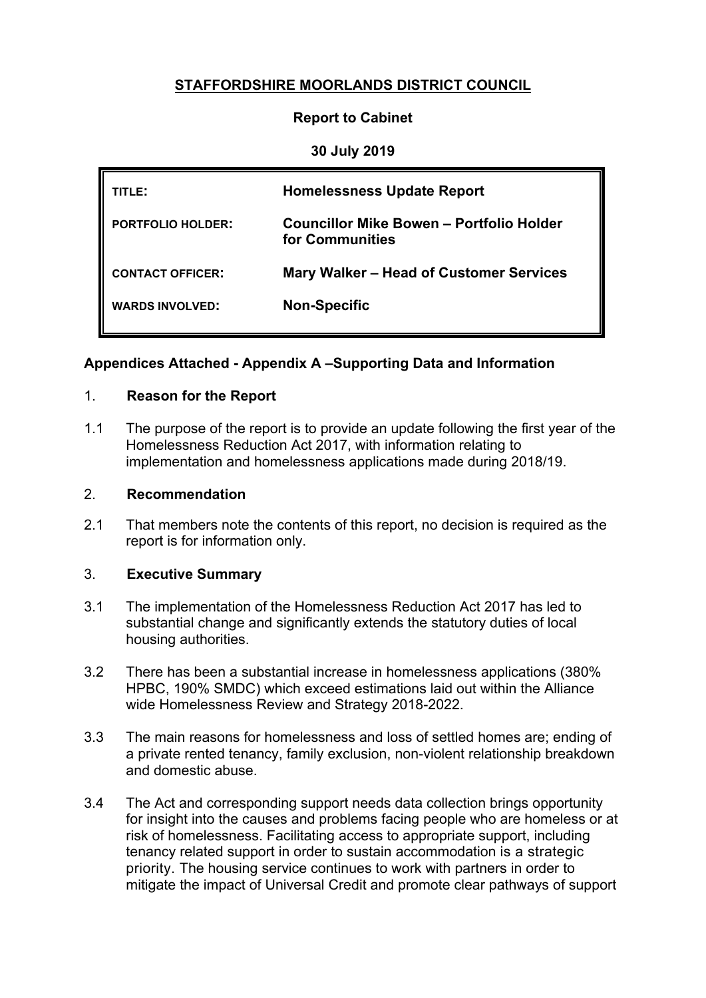# **STAFFORDSHIRE MOORLANDS DISTRICT COUNCIL**

#### **Report to Cabinet**

#### **30 July 2019**

| TITLE:                   | <b>Homelessness Update Report</b>                           |
|--------------------------|-------------------------------------------------------------|
| <b>PORTFOLIO HOLDER:</b> | Councillor Mike Bowen – Portfolio Holder<br>for Communities |
| <b>CONTACT OFFICER:</b>  | Mary Walker – Head of Customer Services                     |
| <b>WARDS INVOLVED:</b>   | <b>Non-Specific</b>                                         |

#### **Appendices Attached - Appendix A –Supporting Data and Information**

#### 1. **Reason for the Report**

1.1 The purpose of the report is to provide an update following the first year of the Homelessness Reduction Act 2017, with information relating to implementation and homelessness applications made during 2018/19.

#### 2. **Recommendation**

2.1 That members note the contents of this report, no decision is required as the report is for information only.

#### 3. **Executive Summary**

- 3.1 The implementation of the Homelessness Reduction Act 2017 has led to substantial change and significantly extends the statutory duties of local housing authorities.
- 3.2 There has been a substantial increase in homelessness applications (380% HPBC, 190% SMDC) which exceed estimations laid out within the Alliance wide Homelessness Review and Strategy 2018-2022.
- 3.3 The main reasons for homelessness and loss of settled homes are; ending of a private rented tenancy, family exclusion, non-violent relationship breakdown and domestic abuse.
- 3.4 The Act and corresponding support needs data collection brings opportunity for insight into the causes and problems facing people who are homeless or at risk of homelessness. Facilitating access to appropriate support, including tenancy related support in order to sustain accommodation is a strategic priority. The housing service continues to work with partners in order to mitigate the impact of Universal Credit and promote clear pathways of support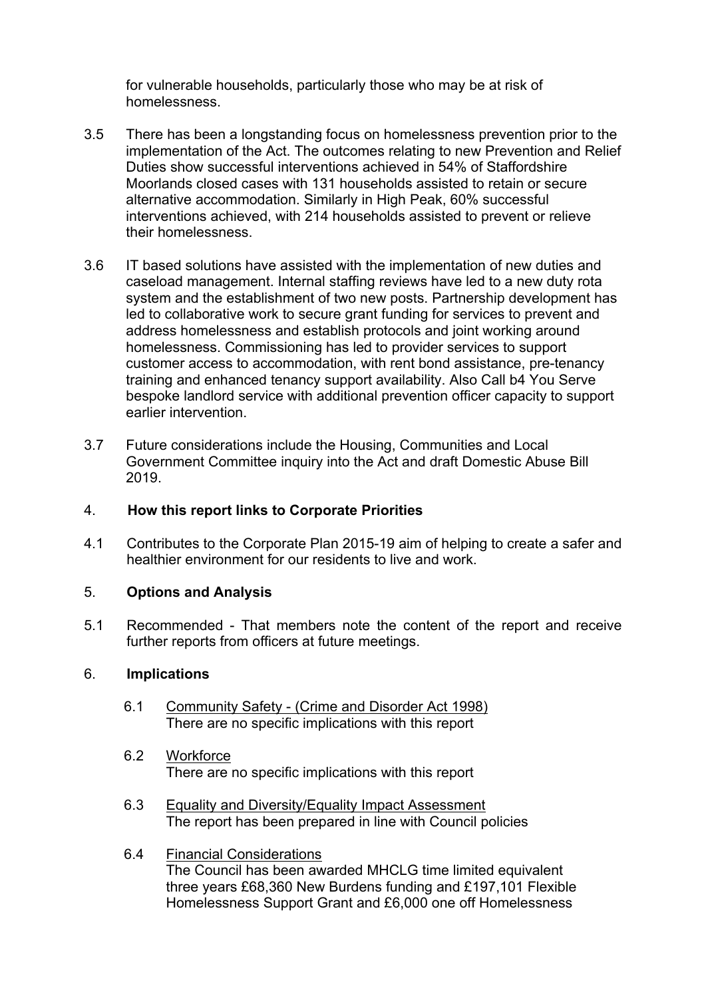for vulnerable households, particularly those who may be at risk of homelessness.

- 3.5 There has been a longstanding focus on homelessness prevention prior to the implementation of the Act. The outcomes relating to new Prevention and Relief Duties show successful interventions achieved in 54% of Staffordshire Moorlands closed cases with 131 households assisted to retain or secure alternative accommodation. Similarly in High Peak, 60% successful interventions achieved, with 214 households assisted to prevent or relieve their homelessness.
- 3.6 IT based solutions have assisted with the implementation of new duties and caseload management. Internal staffing reviews have led to a new duty rota system and the establishment of two new posts. Partnership development has led to collaborative work to secure grant funding for services to prevent and address homelessness and establish protocols and joint working around homelessness. Commissioning has led to provider services to support customer access to accommodation, with rent bond assistance, pre-tenancy training and enhanced tenancy support availability. Also Call b4 You Serve bespoke landlord service with additional prevention officer capacity to support earlier intervention.
- 3.7 Future considerations include the Housing, Communities and Local Government Committee inquiry into the Act and draft Domestic Abuse Bill 2019.

#### 4. **How this report links to Corporate Priorities**

4.1 Contributes to the Corporate Plan 2015-19 aim of helping to create a safer and healthier environment for our residents to live and work.

#### 5. **Options and Analysis**

5.1 Recommended - That members note the content of the report and receive further reports from officers at future meetings.

#### 6. **Implications**

- 6.1 Community Safety (Crime and Disorder Act 1998) There are no specific implications with this report
- 6.2 Workforce There are no specific implications with this report
- 6.3 Equality and Diversity/Equality Impact Assessment The report has been prepared in line with Council policies
- 6.4 Financial Considerations The Council has been awarded MHCLG time limited equivalent three years £68,360 New Burdens funding and £197,101 Flexible Homelessness Support Grant and £6,000 one off Homelessness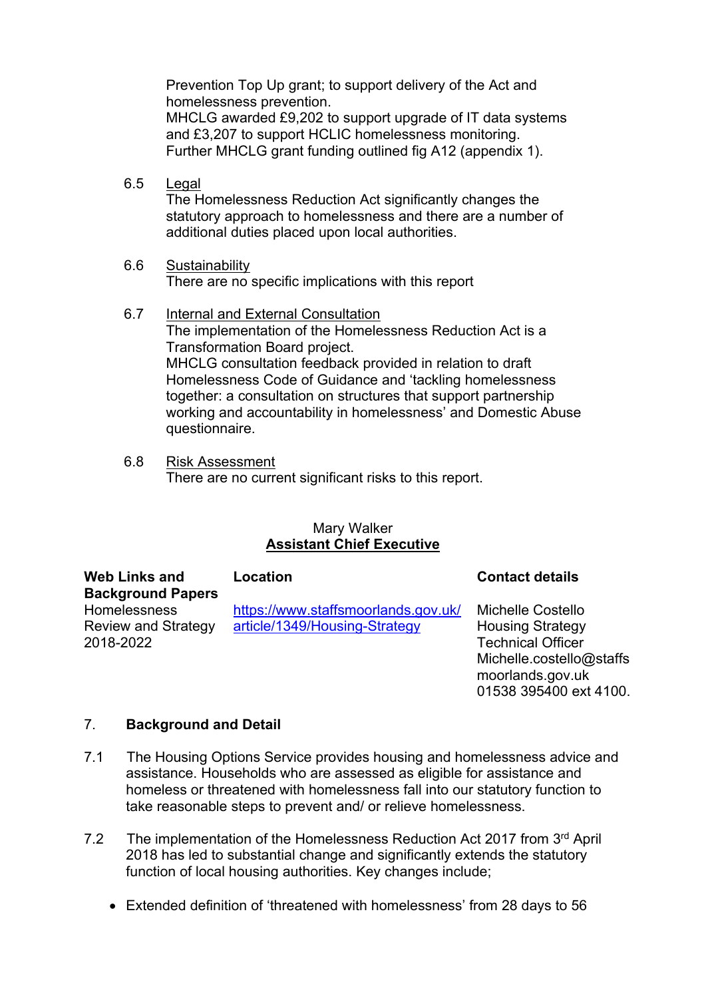Prevention Top Up grant; to support delivery of the Act and homelessness prevention. MHCLG awarded £9,202 to support upgrade of IT data systems and £3,207 to support HCLIC homelessness monitoring.

Further MHCLG grant funding outlined fig A12 (appendix 1).

- 6.5 Legal The Homelessness Reduction Act significantly changes the statutory approach to homelessness and there are a number of additional duties placed upon local authorities.
- 6.6 Sustainability There are no specific implications with this report
- 6.7 Internal and External Consultation The implementation of the Homelessness Reduction Act is a Transformation Board project. MHCLG consultation feedback provided in relation to draft Homelessness Code of Guidance and 'tackling homelessness together: a consultation on structures that support partnership working and accountability in homelessness' and Domestic Abuse questionnaire.
- 6.8 Risk Assessment There are no current significant risks to this report.

#### Mary Walker **Assistant Chief Executive**

| <b>Web Links and</b><br><b>Background Papers</b>               | Location                                                             | <b>Contact details</b>                                                                                                          |
|----------------------------------------------------------------|----------------------------------------------------------------------|---------------------------------------------------------------------------------------------------------------------------------|
| <b>Homelessness</b><br><b>Review and Strategy</b><br>2018-2022 | https://www.staffsmoorlands.gov.uk/<br>article/1349/Housing-Strategy | <b>Michelle Costello</b><br><b>Housing Strategy</b><br><b>Technical Officer</b><br>Michelle.costello@staffs<br>moorlands.gov.uk |

01538 395400 ext 4100.

#### 7. **Background and Detail**

- 7.1 The Housing Options Service provides housing and homelessness advice and assistance. Households who are assessed as eligible for assistance and homeless or threatened with homelessness fall into our statutory function to take reasonable steps to prevent and/ or relieve homelessness.
- 7.2 The implementation of the Homelessness Reduction Act 2017 from 3rd April 2018 has led to substantial change and significantly extends the statutory function of local housing authorities. Key changes include;
	- Extended definition of 'threatened with homelessness' from 28 days to 56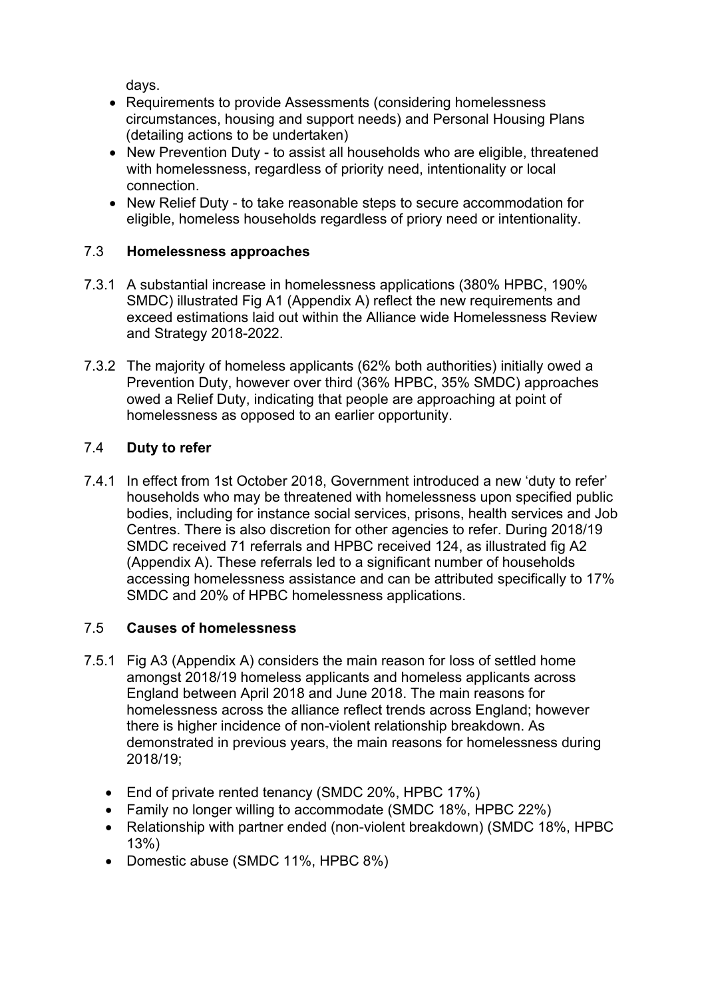days.

- Requirements to provide Assessments (considering homelessness circumstances, housing and support needs) and Personal Housing Plans (detailing actions to be undertaken)
- New Prevention Duty to assist all households who are eligible, threatened with homelessness, regardless of priority need, intentionality or local connection.
- New Relief Duty to take reasonable steps to secure accommodation for eligible, homeless households regardless of priory need or intentionality.

# 7.3 **Homelessness approaches**

- 7.3.1 A substantial increase in homelessness applications (380% HPBC, 190% SMDC) illustrated Fig A1 (Appendix A) reflect the new requirements and exceed estimations laid out within the Alliance wide Homelessness Review and Strategy 2018-2022.
- 7.3.2 The majority of homeless applicants (62% both authorities) initially owed a Prevention Duty, however over third (36% HPBC, 35% SMDC) approaches owed a Relief Duty, indicating that people are approaching at point of homelessness as opposed to an earlier opportunity.

# 7.4 **Duty to refer**

7.4.1 In effect from 1st October 2018, Government introduced a new 'duty to refer' households who may be threatened with homelessness upon specified public bodies, including for instance social services, prisons, health services and Job Centres. There is also discretion for other agencies to refer. During 2018/19 SMDC received 71 referrals and HPBC received 124, as illustrated fig A2 (Appendix A). These referrals led to a significant number of households accessing homelessness assistance and can be attributed specifically to 17% SMDC and 20% of HPBC homelessness applications.

## 7.5 **Causes of homelessness**

- 7.5.1 Fig A3 (Appendix A) considers the main reason for loss of settled home amongst 2018/19 homeless applicants and homeless applicants across England between April 2018 and June 2018. The main reasons for homelessness across the alliance reflect trends across England; however there is higher incidence of non-violent relationship breakdown. As demonstrated in previous years, the main reasons for homelessness during 2018/19;
	- End of private rented tenancy (SMDC 20%, HPBC 17%)
	- Family no longer willing to accommodate (SMDC 18%, HPBC 22%)
	- Relationship with partner ended (non-violent breakdown) (SMDC 18%, HPBC 13%)
	- Domestic abuse (SMDC 11%, HPBC 8%)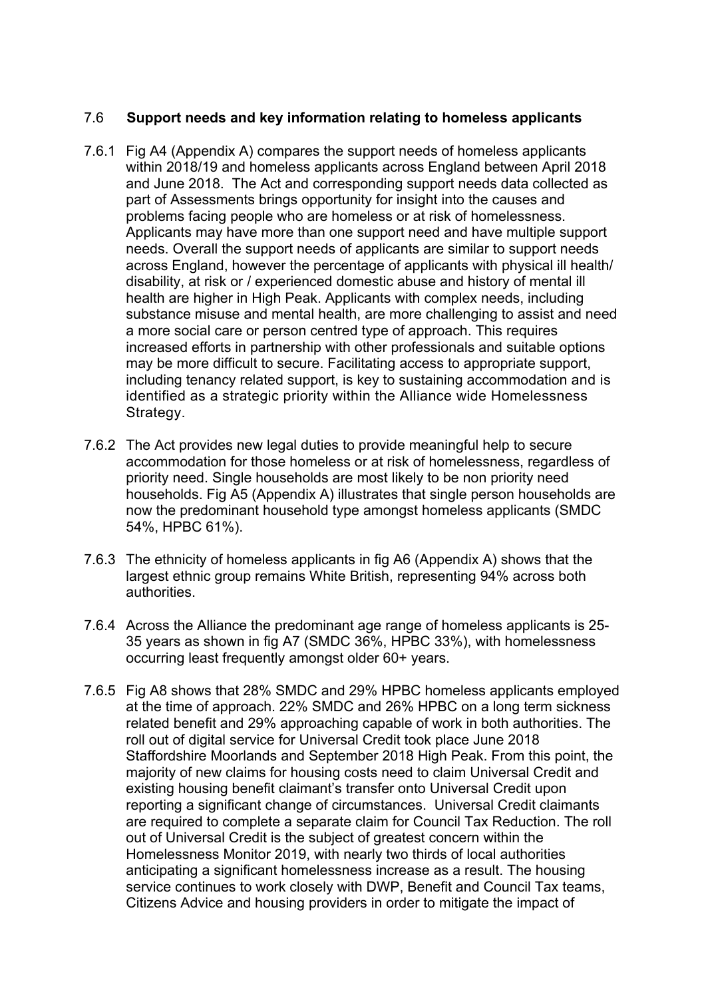### 7.6 **Support needs and key information relating to homeless applicants**

- 7.6.1 Fig A4 (Appendix A) compares the support needs of homeless applicants within 2018/19 and homeless applicants across England between April 2018 and June 2018. The Act and corresponding support needs data collected as part of Assessments brings opportunity for insight into the causes and problems facing people who are homeless or at risk of homelessness. Applicants may have more than one support need and have multiple support needs. Overall the support needs of applicants are similar to support needs across England, however the percentage of applicants with physical ill health/ disability, at risk or / experienced domestic abuse and history of mental ill health are higher in High Peak. Applicants with complex needs, including substance misuse and mental health, are more challenging to assist and need a more social care or person centred type of approach. This requires increased efforts in partnership with other professionals and suitable options may be more difficult to secure. Facilitating access to appropriate support, including tenancy related support, is key to sustaining accommodation and is identified as a strategic priority within the Alliance wide Homelessness Strategy.
- 7.6.2 The Act provides new legal duties to provide meaningful help to secure accommodation for those homeless or at risk of homelessness, regardless of priority need. Single households are most likely to be non priority need households. Fig A5 (Appendix A) illustrates that single person households are now the predominant household type amongst homeless applicants (SMDC 54%, HPBC 61%).
- 7.6.3 The ethnicity of homeless applicants in fig A6 (Appendix A) shows that the largest ethnic group remains White British, representing 94% across both authorities.
- 7.6.4 Across the Alliance the predominant age range of homeless applicants is 25- 35 years as shown in fig A7 (SMDC 36%, HPBC 33%), with homelessness occurring least frequently amongst older 60+ years.
- 7.6.5 Fig A8 shows that 28% SMDC and 29% HPBC homeless applicants employed at the time of approach. 22% SMDC and 26% HPBC on a long term sickness related benefit and 29% approaching capable of work in both authorities. The roll out of digital service for Universal Credit took place June 2018 Staffordshire Moorlands and September 2018 High Peak. From this point, the majority of new claims for housing costs need to claim Universal Credit and existing housing benefit claimant's transfer onto Universal Credit upon reporting a significant change of circumstances. Universal Credit claimants are required to complete a separate claim for Council Tax Reduction. The roll out of Universal Credit is the subject of greatest concern within the Homelessness Monitor 2019, with nearly two thirds of local authorities anticipating a significant homelessness increase as a result. The housing service continues to work closely with DWP, Benefit and Council Tax teams, Citizens Advice and housing providers in order to mitigate the impact of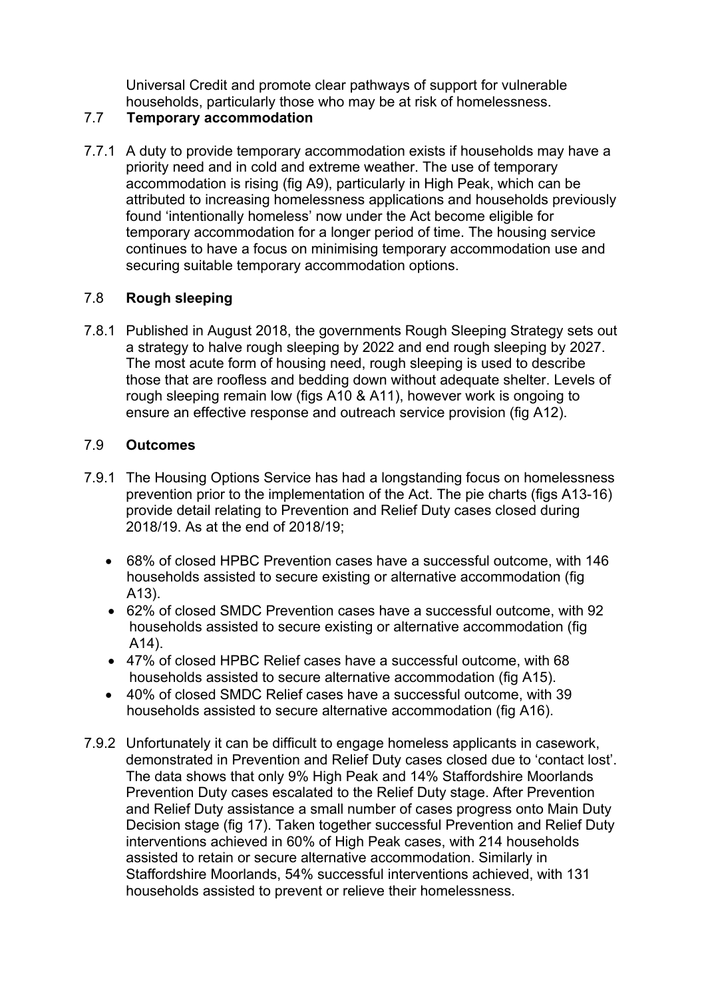Universal Credit and promote clear pathways of support for vulnerable households, particularly those who may be at risk of homelessness.

#### 7.7 **Temporary accommodation**

7.7.1 A duty to provide temporary accommodation exists if households may have a priority need and in cold and extreme weather. The use of temporary accommodation is rising (fig A9), particularly in High Peak, which can be attributed to increasing homelessness applications and households previously found 'intentionally homeless' now under the Act become eligible for temporary accommodation for a longer period of time. The housing service continues to have a focus on minimising temporary accommodation use and securing suitable temporary accommodation options.

## 7.8 **Rough sleeping**

7.8.1 Published in August 2018, the governments Rough Sleeping Strategy sets out a strategy to halve rough sleeping by 2022 and end rough sleeping by 2027. The most acute form of housing need, rough sleeping is used to describe those that are roofless and bedding down without adequate shelter. Levels of rough sleeping remain low (figs A10 & A11), however work is ongoing to ensure an effective response and outreach service provision (fig A12).

## 7.9 **Outcomes**

- 7.9.1 The Housing Options Service has had a longstanding focus on homelessness prevention prior to the implementation of the Act. The pie charts (figs A13-16) provide detail relating to Prevention and Relief Duty cases closed during 2018/19. As at the end of 2018/19;
	- 68% of closed HPBC Prevention cases have a successful outcome, with 146 households assisted to secure existing or alternative accommodation (fig A13).
	- 62% of closed SMDC Prevention cases have a successful outcome, with 92 households assisted to secure existing or alternative accommodation (fig A14).
	- 47% of closed HPBC Relief cases have a successful outcome, with 68 households assisted to secure alternative accommodation (fig A15).
	- 40% of closed SMDC Relief cases have a successful outcome, with 39 households assisted to secure alternative accommodation (fig A16).
- 7.9.2 Unfortunately it can be difficult to engage homeless applicants in casework, demonstrated in Prevention and Relief Duty cases closed due to 'contact lost'. The data shows that only 9% High Peak and 14% Staffordshire Moorlands Prevention Duty cases escalated to the Relief Duty stage. After Prevention and Relief Duty assistance a small number of cases progress onto Main Duty Decision stage (fig 17). Taken together successful Prevention and Relief Duty interventions achieved in 60% of High Peak cases, with 214 households assisted to retain or secure alternative accommodation. Similarly in Staffordshire Moorlands, 54% successful interventions achieved, with 131 households assisted to prevent or relieve their homelessness.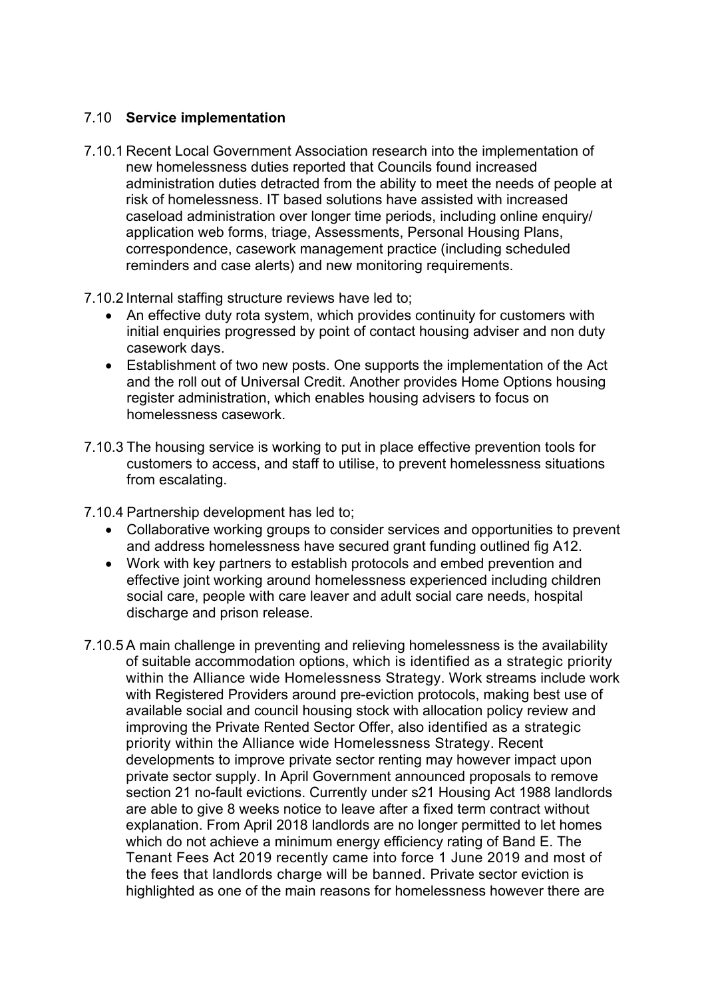### 7.10 **Service implementation**

- 7.10.1 Recent Local Government Association research into the implementation of new homelessness duties reported that Councils found increased administration duties detracted from the ability to meet the needs of people at risk of homelessness. IT based solutions have assisted with increased caseload administration over longer time periods, including online enquiry/ application web forms, triage, Assessments, Personal Housing Plans, correspondence, casework management practice (including scheduled reminders and case alerts) and new monitoring requirements.
- 7.10.2 Internal staffing structure reviews have led to;
	- An effective duty rota system, which provides continuity for customers with initial enquiries progressed by point of contact housing adviser and non duty casework days.
	- Establishment of two new posts. One supports the implementation of the Act and the roll out of Universal Credit. Another provides Home Options housing register administration, which enables housing advisers to focus on homelessness casework.
- 7.10.3 The housing service is working to put in place effective prevention tools for customers to access, and staff to utilise, to prevent homelessness situations from escalating.

7.10.4 Partnership development has led to;

- Collaborative working groups to consider services and opportunities to prevent and address homelessness have secured grant funding outlined fig A12.
- Work with key partners to establish protocols and embed prevention and effective joint working around homelessness experienced including children social care, people with care leaver and adult social care needs, hospital discharge and prison release.
- 7.10.5 A main challenge in preventing and relieving homelessness is the availability of suitable accommodation options, which is identified as a strategic priority within the Alliance wide Homelessness Strategy. Work streams include work with Registered Providers around pre-eviction protocols, making best use of available social and council housing stock with allocation policy review and improving the Private Rented Sector Offer, also identified as a strategic priority within the Alliance wide Homelessness Strategy. Recent developments to improve private sector renting may however impact upon private sector supply. In April Government announced proposals to remove section 21 no-fault evictions. Currently under s21 Housing Act 1988 landlords are able to give 8 weeks notice to leave after a fixed term contract without explanation. From April 2018 landlords are no longer permitted to let homes which do not achieve a minimum energy efficiency rating of Band E. The Tenant Fees Act 2019 recently came into force 1 June 2019 and most of the fees that landlords charge will be banned. Private sector eviction is highlighted as one of the main reasons for homelessness however there are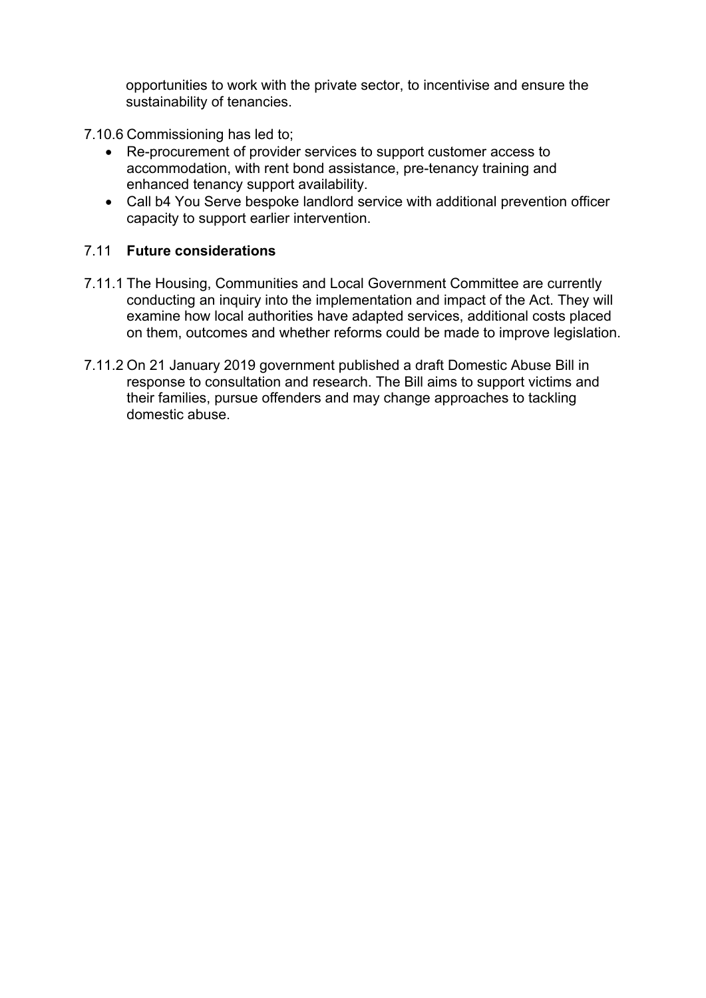opportunities to work with the private sector, to incentivise and ensure the sustainability of tenancies.

7.10.6 Commissioning has led to;

- Re-procurement of provider services to support customer access to accommodation, with rent bond assistance, pre-tenancy training and enhanced tenancy support availability.
- Call b4 You Serve bespoke landlord service with additional prevention officer capacity to support earlier intervention.

#### 7.11 **Future considerations**

- 7.11.1 The Housing, Communities and Local Government Committee are currently conducting an inquiry into the implementation and impact of the Act. They will examine how local authorities have adapted services, additional costs placed on them, outcomes and whether reforms could be made to improve legislation.
- 7.11.2 On 21 January 2019 government published a draft Domestic Abuse Bill in response to consultation and research. The Bill aims to support victims and their families, pursue offenders and may change approaches to tackling domestic abuse.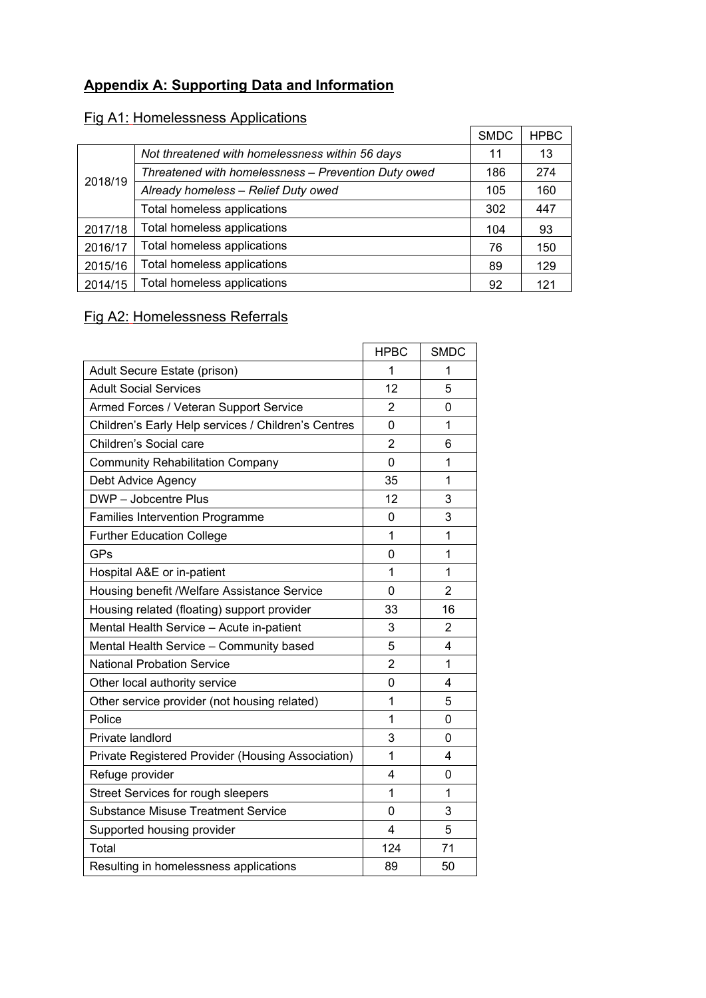# **Appendix A: Supporting Data and Information**

# Fig A1: Homelessness Applications

|         |                                                     | <b>SMDC</b> | <b>HPBC</b> |
|---------|-----------------------------------------------------|-------------|-------------|
|         | Not threatened with homelessness within 56 days     | 11          | 13          |
| 2018/19 | Threatened with homelessness - Prevention Duty owed | 186         | 274         |
|         | Already homeless - Relief Duty owed                 | 105         | 160         |
|         | Total homeless applications                         | 302         | 447         |
| 2017/18 | Total homeless applications                         | 104         | 93          |
| 2016/17 | Total homeless applications                         | 76          | 150         |
| 2015/16 | Total homeless applications                         | 89          | 129         |
| 2014/15 | Total homeless applications                         | 92          | 121         |

# Fig A2: Homelessness Referrals

|                                                     | <b>HPBC</b>    | <b>SMDC</b>    |
|-----------------------------------------------------|----------------|----------------|
| Adult Secure Estate (prison)                        | 1              | 1              |
| <b>Adult Social Services</b>                        | 12             | 5              |
| Armed Forces / Veteran Support Service              | $\overline{2}$ | 0              |
| Children's Early Help services / Children's Centres | $\Omega$       | 1              |
| Children's Social care                              | $\overline{2}$ | 6              |
| <b>Community Rehabilitation Company</b>             | 0              | 1              |
| Debt Advice Agency                                  | 35             | 1              |
| DWP - Jobcentre Plus                                | 12             | 3              |
| <b>Families Intervention Programme</b>              | $\Omega$       | 3              |
| <b>Further Education College</b>                    | 1              | 1              |
| <b>GPs</b>                                          | 0              | 1              |
| Hospital A&E or in-patient                          | 1              | 1              |
| Housing benefit /Welfare Assistance Service         | 0              | $\overline{2}$ |
| Housing related (floating) support provider         | 33             | 16             |
| Mental Health Service - Acute in-patient            | 3              | $\overline{2}$ |
| Mental Health Service - Community based             | 5              | 4              |
| <b>National Probation Service</b>                   | $\overline{2}$ | 1              |
| Other local authority service                       | 0              | 4              |
| Other service provider (not housing related)        | 1              | 5              |
| Police                                              | 1              | 0              |
| Private landlord                                    | 3              | $\Omega$       |
| Private Registered Provider (Housing Association)   | 1              | 4              |
| Refuge provider                                     | 4              | 0              |
| Street Services for rough sleepers                  | 1              | 1              |
| <b>Substance Misuse Treatment Service</b>           | $\overline{0}$ | 3              |
| Supported housing provider                          | 4              | 5              |
| Total                                               | 124            | 71             |
| Resulting in homelessness applications              | 89             | 50             |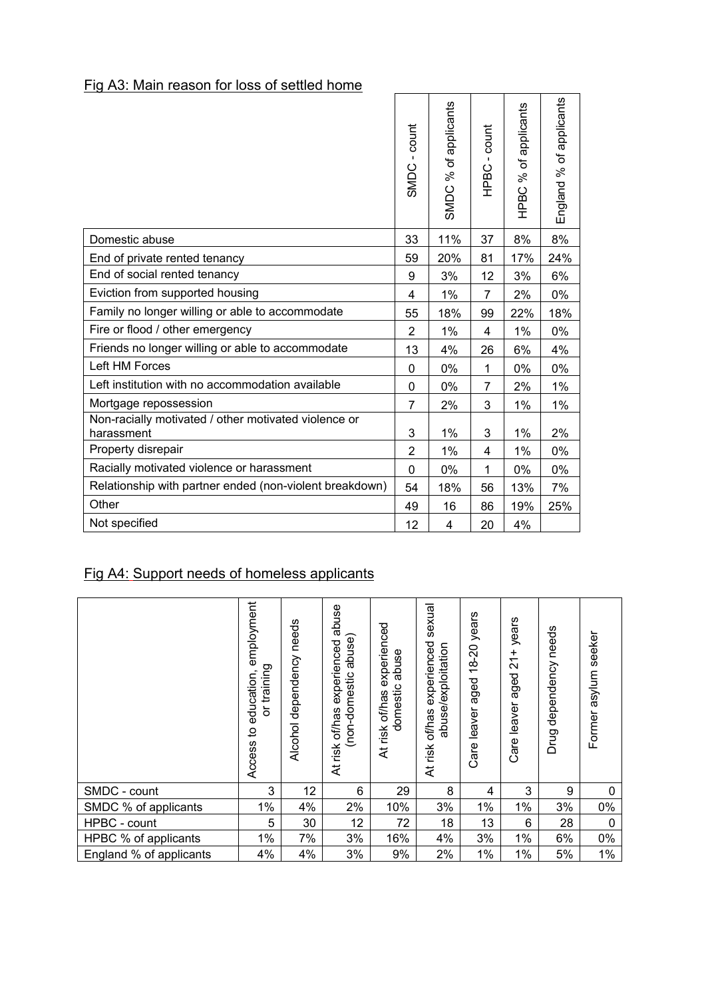# Fig A3: Main reason for loss of settled home

|                                                                    | - count<br>SMDC | SMDC % of applicants | HPBC - count   | % of applicants<br>HPBC | England % of applicants |
|--------------------------------------------------------------------|-----------------|----------------------|----------------|-------------------------|-------------------------|
|                                                                    |                 |                      |                |                         |                         |
| Domestic abuse                                                     | 33              | 11%                  | 37             | 8%                      | 8%                      |
| End of private rented tenancy                                      | 59              | 20%                  | 81             | 17%                     | 24%                     |
| End of social rented tenancy                                       | 9               | 3%                   | 12             | 3%                      | 6%                      |
| Eviction from supported housing                                    | 4               | 1%                   | $\overline{7}$ | 2%                      | 0%                      |
| Family no longer willing or able to accommodate                    | 55              | 18%                  | 99             | 22%                     | 18%                     |
| Fire or flood / other emergency                                    | $\overline{2}$  | 1%                   | 4              | 1%                      | 0%                      |
| Friends no longer willing or able to accommodate                   | 13              | 4%                   | 26             | 6%                      | 4%                      |
| Left HM Forces                                                     | 0               | 0%                   | 1              | 0%                      | 0%                      |
| Left institution with no accommodation available                   | 0               | 0%                   | 7              | 2%                      | $1\%$                   |
| Mortgage repossession                                              | 7               | 2%                   | 3              | 1%                      | 1%                      |
| Non-racially motivated / other motivated violence or<br>harassment | 3               | 1%                   | 3              | 1%                      | 2%                      |
| Property disrepair                                                 | $\overline{2}$  | 1%                   | 4              | 1%                      | 0%                      |
| Racially motivated violence or harassment                          | $\mathbf{0}$    | 0%                   | 1              | 0%                      | 0%                      |
| Relationship with partner ended (non-violent breakdown)            | 54              | 18%                  | 56             | 13%                     | 7%                      |
| Other                                                              | 49              | 16                   | 86             | 19%                     | 25%                     |
| Not specified                                                      | 12              | 4                    | 20             | 4%                      |                         |

 $\overline{\phantom{a}}$ 

 $\Gamma$ 

# Fig A4: Support needs of homeless applicants

|                         | employment<br>or training<br>education<br>٥,<br>Access | needs<br>dependency<br>Alcohol | abuse<br>abuse)<br>experienced<br>(non-domestic<br>of/has<br>risk<br>₹ | experienced<br>abuse<br>domestic<br>of/has<br>risk<br>₹ | sexual<br>experienced<br>abuse/exploitation<br>of/has<br>At risk | years<br>$18 - 20$<br>aged<br>Care leaver | years<br>$\frac{1}{2}$<br>aged<br>leaver<br>Care | needs<br>dependency<br>Drug | seeker<br>asylum<br>Former |
|-------------------------|--------------------------------------------------------|--------------------------------|------------------------------------------------------------------------|---------------------------------------------------------|------------------------------------------------------------------|-------------------------------------------|--------------------------------------------------|-----------------------------|----------------------------|
| SMDC - count            | 3                                                      | 12                             | 6                                                                      | 29                                                      | 8                                                                | 4                                         | 3                                                | 9                           | $\mathbf 0$                |
| SMDC % of applicants    | 1%                                                     | 4%                             | 2%                                                                     | 10%                                                     | 3%                                                               | 1%                                        | $1\%$                                            | 3%                          | 0%                         |
| HPBC - count            | 5                                                      | 30                             | 12                                                                     | 72                                                      | 18                                                               | 13                                        | 6                                                | 28                          | $\mathbf 0$                |
| HPBC % of applicants    | 1%                                                     | 7%                             | 3%                                                                     | 16%                                                     | 4%                                                               | 3%                                        | 1%                                               | 6%                          | 0%                         |
| England % of applicants | 4%                                                     | 4%                             | 3%                                                                     | 9%                                                      | 2%                                                               | 1%                                        | 1%                                               | 5%                          | $1\%$                      |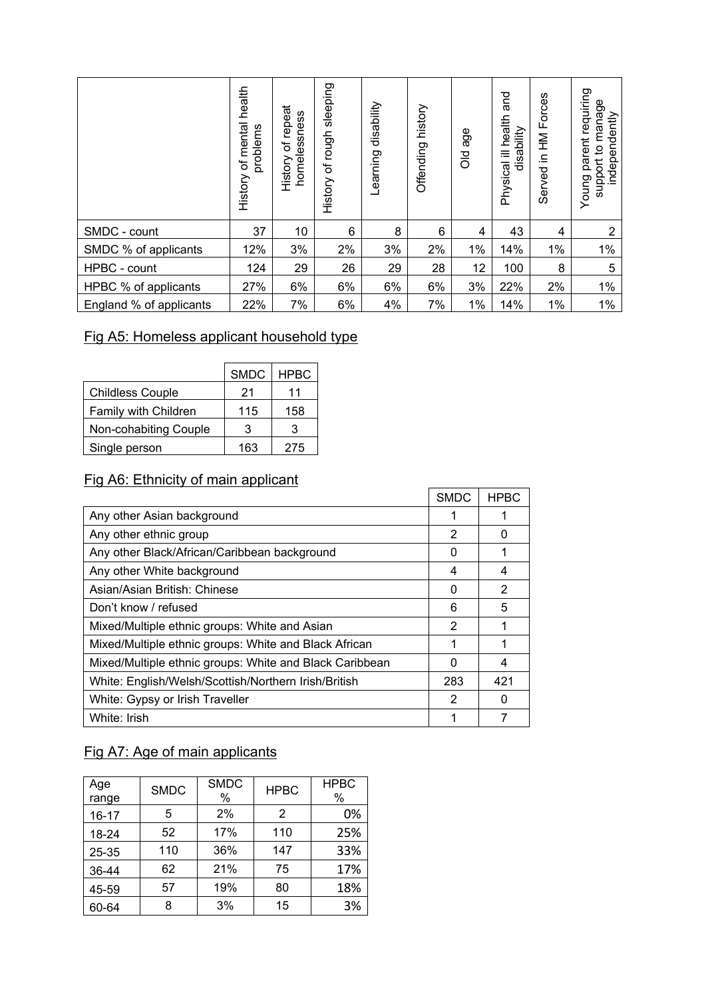|                         | health<br>mental<br>problems<br>đ<br>History | repeat<br>homelessness<br>$\overline{\sigma}$<br>History | sleeping<br>of rough<br>History | disability<br>Learning | history<br>Offending | age<br><b>PO</b> | pue<br>ill health<br>disability<br>Physical | in HM Forces<br>Served | requiring<br>manage<br>independently<br>parent<br>support to<br>Young |
|-------------------------|----------------------------------------------|----------------------------------------------------------|---------------------------------|------------------------|----------------------|------------------|---------------------------------------------|------------------------|-----------------------------------------------------------------------|
| SMDC - count            | 37                                           | 10                                                       | 6                               | 8                      | 6                    | 4                | 43                                          | 4                      | $\overline{2}$                                                        |
| SMDC % of applicants    | 12%                                          | 3%                                                       | 2%                              | 3%                     | 2%                   | 1%               | 14%                                         | 1%                     | 1%                                                                    |
| HPBC - count            | 124                                          | 29                                                       | 26                              | 29                     | 28                   | 12               | 100                                         | 8                      | 5                                                                     |
| HPBC % of applicants    | 27%                                          | 6%                                                       | 6%                              | 6%                     | 6%                   | 3%               | 22%                                         | 2%                     | $1\%$                                                                 |
| England % of applicants | 22%                                          | 7%                                                       | 6%                              | 4%                     | 7%                   | $1\%$            | 14%                                         | $1\%$                  | $1\%$                                                                 |

 $\Gamma$ 

# Fig A5: Homeless applicant household type

|                         | <b>SMDC</b> | <b>HPBC</b> |
|-------------------------|-------------|-------------|
| <b>Childless Couple</b> | 21          | 11          |
| Family with Children    | 115         | 158         |
| Non-cohabiting Couple   | 3           | 3           |
| Single person           | 163         | 275         |

# Fig A6: Ethnicity of main applicant

|                                                         | <b>SMDC</b> | <b>HPBC</b> |
|---------------------------------------------------------|-------------|-------------|
| Any other Asian background                              |             |             |
| Any other ethnic group                                  | 2           | 0           |
| Any other Black/African/Caribbean background            | 0           |             |
| Any other White background                              | 4           | 4           |
| Asian/Asian British: Chinese                            | 0           | 2           |
| Don't know / refused                                    | 6           | 5           |
| Mixed/Multiple ethnic groups: White and Asian           | 2           | 1           |
| Mixed/Multiple ethnic groups: White and Black African   | 1           | 1           |
| Mixed/Multiple ethnic groups: White and Black Caribbean | 0           | 4           |
| White: English/Welsh/Scottish/Northern Irish/British    | 283         | 421         |
| White: Gypsy or Irish Traveller                         | 2           | 0           |
| White: Irish                                            |             |             |

# Fig A7: Age of main applicants

| Age<br>range | <b>SMDC</b> | <b>SMDC</b><br>% | <b>HPBC</b> | <b>HPBC</b><br>$\%$ |
|--------------|-------------|------------------|-------------|---------------------|
| $16 - 17$    | 5           | 2%               | 2           | 0%                  |
| 18-24        | 52          | 17%              | 110         | 25%                 |
| 25-35        | 110         | 36%              | 147         | 33%                 |
| 36-44        | 62          | 21%              | 75          | 17%                 |
| 45-59        | 57          | 19%              | 80          | 18%                 |
| 60-64        | 8           | 3%               | 15          | 3%                  |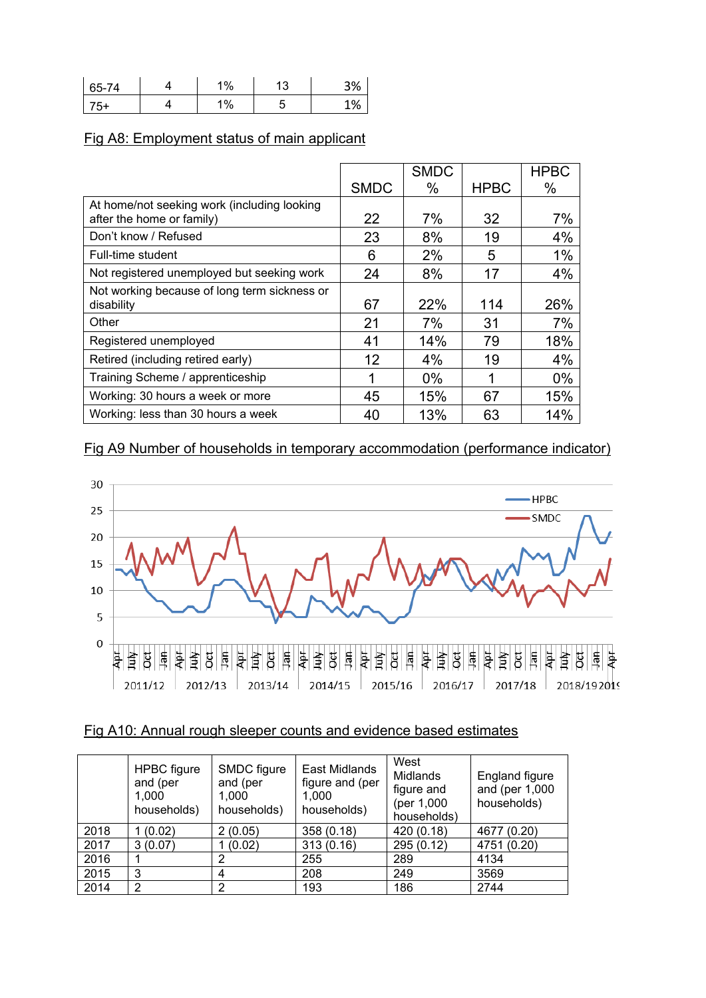| 65-74 | $\frac{10}{6}$ | ۰<br>ں، | 20/<br>コ 70 |
|-------|----------------|---------|-------------|
| ັ     | %              |         | 1%          |

# Fig A8: Employment status of main applicant

|                                                                          |             | <b>SMDC</b> |             | <b>HPBC</b> |
|--------------------------------------------------------------------------|-------------|-------------|-------------|-------------|
|                                                                          | <b>SMDC</b> | %           | <b>HPBC</b> | %           |
| At home/not seeking work (including looking<br>after the home or family) | 22          | 7%          | 32          | 7%          |
| Don't know / Refused                                                     | 23          | 8%          | 19          | 4%          |
| Full-time student                                                        | 6           | 2%          | 5           | 1%          |
| Not registered unemployed but seeking work                               | 24          | 8%          | 17          | 4%          |
| Not working because of long term sickness or<br>disability               | 67          | 22%         | 114         | 26%         |
| Other                                                                    | 21          | 7%          | 31          | 7%          |
| Registered unemployed                                                    | 41          | 14%         | 79          | 18%         |
| Retired (including retired early)                                        | 12          | 4%          | 19          | 4%          |
| Training Scheme / apprenticeship                                         |             | $0\%$       |             | $0\%$       |
| Working: 30 hours a week or more                                         | 45          | 15%         | 67          | 15%         |
| Working: less than 30 hours a week                                       | 40          | 13%         | 63          | 14%         |

## Fig A9 Number of households in temporary accommodation (performance indicator)



#### Fig A10: Annual rough sleeper counts and evidence based estimates

|      | <b>HPBC</b> figure<br>and (per<br>1,000<br>households) | SMDC figure<br>and (per<br>1.000<br>households) | East Midlands<br>figure and (per<br>1.000<br>households) | West<br><b>Midlands</b><br>figure and<br>(per 1,000)<br>households) | England figure<br>and (per 1,000<br>households) |
|------|--------------------------------------------------------|-------------------------------------------------|----------------------------------------------------------|---------------------------------------------------------------------|-------------------------------------------------|
| 2018 | (0.02)                                                 | 2(0.05)                                         | 358 (0.18)                                               | 420 (0.18)                                                          | 4677 (0.20)                                     |
| 2017 | 3(0.07)                                                | 1(0.02)                                         | 313(0.16)                                                | 295 (0.12)                                                          | 4751 (0.20)                                     |
| 2016 |                                                        | 2                                               | 255                                                      | 289                                                                 | 4134                                            |
| 2015 | 3                                                      | 4                                               | 208                                                      | 249                                                                 | 3569                                            |
| 2014 | $\overline{2}$                                         | 2                                               | 193                                                      | 186                                                                 | 2744                                            |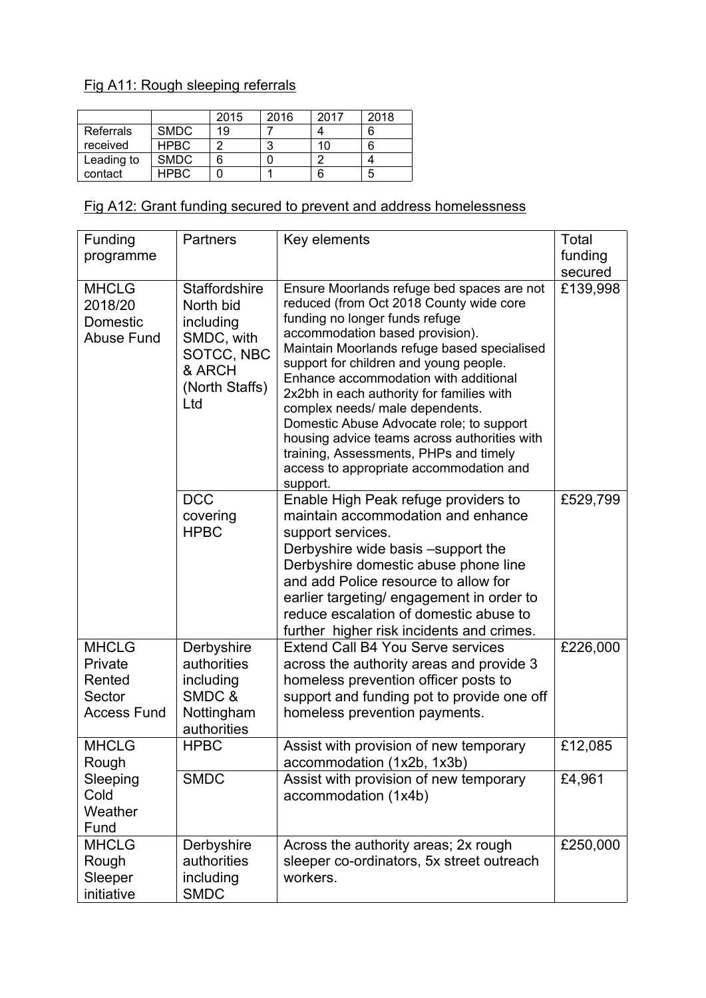# Fig A11: Rough sleeping referrals

|            |             | 2015 | 2016 | 2017 | 2018 |
|------------|-------------|------|------|------|------|
| Referrals  | <b>SMDC</b> | 19   |      |      |      |
| received   | <b>HPBC</b> |      | 3    | 10   |      |
| Leading to | <b>SMDC</b> | 6    |      |      |      |
| contact    | HPRC.       |      |      | 6    | b    |

# Fig A12: Grant funding secured to prevent and address homelessness

| Funding<br>programme                                              | <b>Partners</b>                                                                                               | Key elements                                                                                                                                                                                                                                                                                                                                                                                                                                                                                                                                                              | Total<br>funding    |
|-------------------------------------------------------------------|---------------------------------------------------------------------------------------------------------------|---------------------------------------------------------------------------------------------------------------------------------------------------------------------------------------------------------------------------------------------------------------------------------------------------------------------------------------------------------------------------------------------------------------------------------------------------------------------------------------------------------------------------------------------------------------------------|---------------------|
| <b>MHCLG</b><br>2018/20<br>Domestic<br><b>Abuse Fund</b>          | <b>Staffordshire</b><br>North bid<br>including<br>SMDC, with<br>SOTCC, NBC<br>& ARCH<br>(North Staffs)<br>Ltd | Ensure Moorlands refuge bed spaces are not<br>reduced (from Oct 2018 County wide core<br>funding no longer funds refuge<br>accommodation based provision).<br>Maintain Moorlands refuge based specialised<br>support for children and young people.<br>Enhance accommodation with additional<br>2x2bh in each authority for families with<br>complex needs/ male dependents.<br>Domestic Abuse Advocate role; to support<br>housing advice teams across authorities with<br>training, Assessments, PHPs and timely<br>access to appropriate accommodation and<br>support. | secured<br>£139,998 |
|                                                                   | <b>DCC</b><br>covering<br><b>HPBC</b>                                                                         | Enable High Peak refuge providers to<br>maintain accommodation and enhance<br>support services.<br>Derbyshire wide basis -support the<br>Derbyshire domestic abuse phone line<br>and add Police resource to allow for<br>earlier targeting/engagement in order to<br>reduce escalation of domestic abuse to<br>further higher risk incidents and crimes.                                                                                                                                                                                                                  | £529,799            |
| <b>MHCLG</b><br>Private<br>Rented<br>Sector<br><b>Access Fund</b> | Derbyshire<br>authorities<br>including<br>SMDC &<br>Nottingham<br>authorities                                 | <b>Extend Call B4 You Serve services</b><br>across the authority areas and provide 3<br>homeless prevention officer posts to<br>support and funding pot to provide one off<br>homeless prevention payments.                                                                                                                                                                                                                                                                                                                                                               | £226,000            |
| <b>MHCLG</b><br>Rough                                             | <b>HPBC</b>                                                                                                   | Assist with provision of new temporary<br>accommodation (1x2b, 1x3b)                                                                                                                                                                                                                                                                                                                                                                                                                                                                                                      | £12,085             |
| Sleeping<br>Cold<br>Weather<br>Fund                               | <b>SMDC</b>                                                                                                   | Assist with provision of new temporary<br>accommodation (1x4b)                                                                                                                                                                                                                                                                                                                                                                                                                                                                                                            | £4,961              |
| <b>MHCLG</b><br>Rough<br>Sleeper<br>initiative                    | Derbyshire<br>authorities<br>including<br><b>SMDC</b>                                                         | Across the authority areas; 2x rough<br>sleeper co-ordinators, 5x street outreach<br>workers.                                                                                                                                                                                                                                                                                                                                                                                                                                                                             | £250,000            |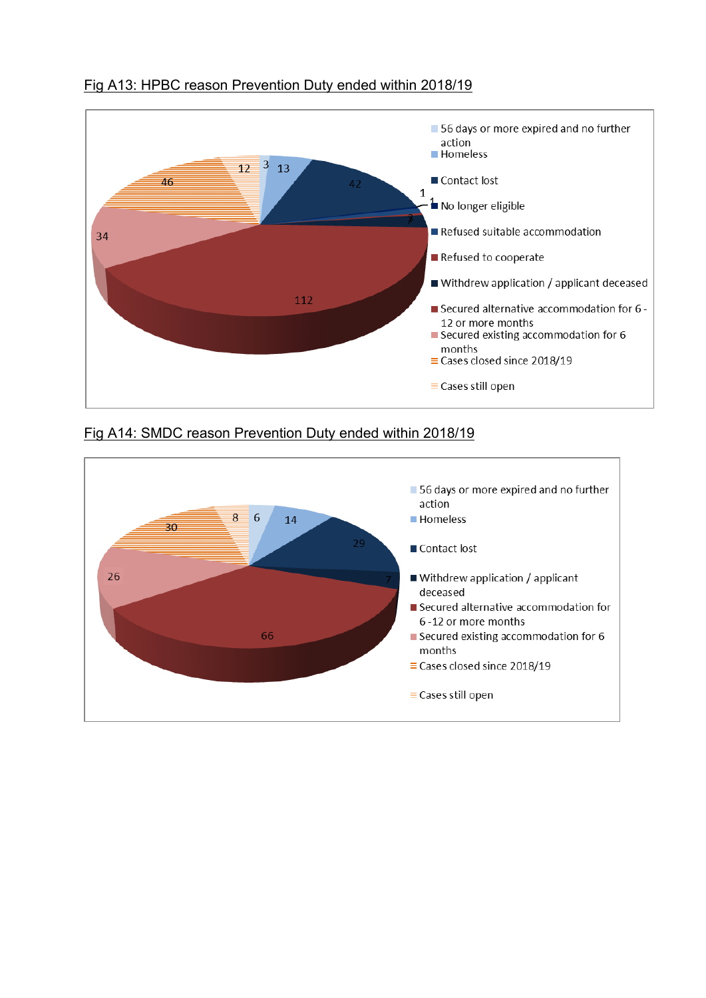

### Fig A13: HPBC reason Prevention Duty ended within 2018/19

#### Fig A14: SMDC reason Prevention Duty ended within 2018/19